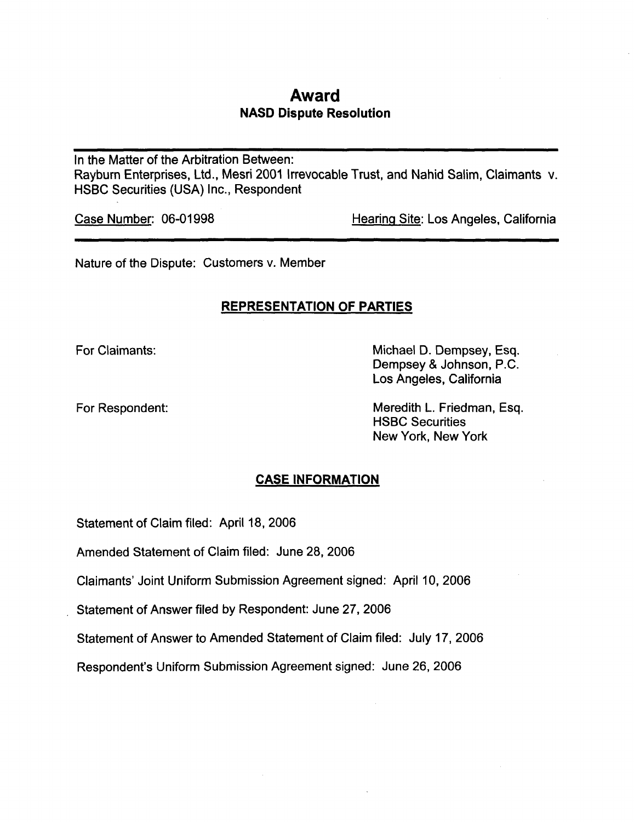# Award NASD Dispute Resolution

In the Matter of the Arbitration Between: Rayburn Enterprises, Ltd., Mesri 2001 Irrevocable Trust, and Nahid Salim, Claimants v. HSBC Securities (USA) Inc., Respondent

Case Number: 06-01998 Hearing Site: Los Angeles, California

Nature of the Dispute: Customers v. Member

## REPRESENTATION OF PARTIES

For Claimants: **Michael D. Dempsey, Esq.** Dempsey & Johnson, P.C. Los Angeles, California

For Respondent: The Meredith L. Friedman, Esq. HSBC Securities New York, New York

## CASE INFORMATION

Statement of Claim filed: April 18, 2006

Amended Statement of Claim filed: June 28, 2006

Claimants' Joint Uniform Submission Agreement signed: April 10, 2006

Statement of Answer filed by Respondent: June 27, 2006

Statement of Answer to Amended Statement of Claim filed: July 17, 2006

Respondent's Uniform Submission Agreement signed: June 26, 2006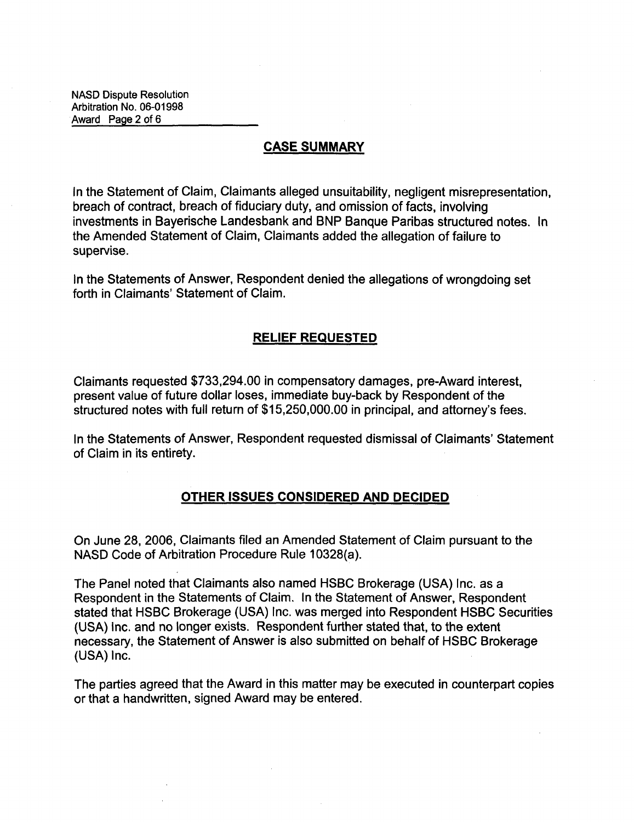NASD Dispute Resolution Arbitration No. 06-01998 Award Page 2 of 6

### CASE SUMMARY

In the Statement of Claim, Claimants alleged unsuitability, negligent misrepresentation, breach of contract, breach of fiduciary duty, and omission of facts, involving investments in Bayerische Landesbank and BMP Banque Paribas structured notes. In the Amended Statement of Claim, Claimants added the allegation of failure to supervise.

In the Statements of Answer, Respondent denied the allegations of wrongdoing set forth in Claimants' Statement of Claim.

### RELIEF REQUESTED

Claimants requested \$733,294.00 in compensatory damages, pre-Award interest, present value of future dollar loses, immediate buy-back by Respondent of the structured notes with full return of \$15,250,000.00 in principal, and attorney's fees.

In the Statements of Answer, Respondent requested dismissal of Claimants' Statement of Claim in its entirety.

### OTHER ISSUES CONSIDERED AND DECIDED

On June 28, 2006, Claimants filed an Amended Statement of Claim pursuant to the NASD Code of Arbitration Procedure Rule 10328(a).

The Panel noted that Claimants also named HSBC Brokerage (USA) Inc. as a Respondent in the Statements of Claim. In the Statement of Answer, Respondent stated that HSBC Brokerage (USA) Inc. was merged into Respondent HSBC Securities (USA) Inc. and no longer exists. Respondent further stated that, to the extent necessary, the Statement of Answer is also submitted on behalf of HSBC Brokerage (USA) Inc.

The parties agreed that the Award in this matter may be executed in counterpart copies or that a handwritten, signed Award may be entered.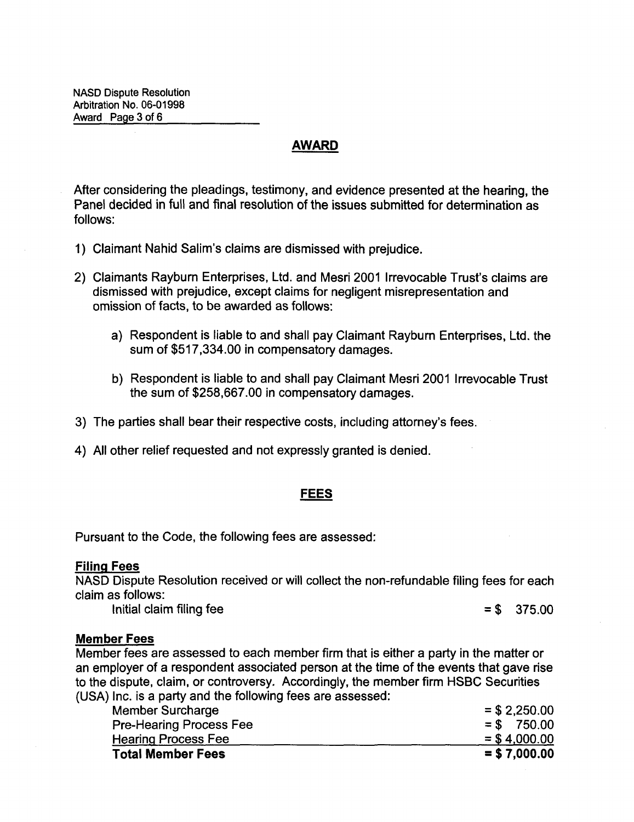## AWARD

After considering the pleadings, testimony, and evidence presented at the hearing, the Panel decided in full and final resolution of the issues submitted for determination as follows:

- 1) Claimant Nahid Salim's claims are dismissed with prejudice.
- 2) Claimants Rayburn Enterprises, Ltd. and Mesri 2001 Irrevocable Trust's claims are dismissed with prejudice, except claims for negligent misrepresentation and omission of facts, to be awarded as follows:
	- a) Respondent is liable to and shall pay Claimant Rayburn Enterprises, Ltd. the sum of \$517,334.00 in compensatory damages.
	- b) Respondent is liable to and shall pay Claimant Mesri 2001 Irrevocable Trust the sum of \$258,667.00 in compensatory damages.
- 3) The parties shall bear their respective costs, including attorney's fees.
- 4) All other relief requested and not expressly granted is denied.

### FEES

Pursuant to the Code, the following fees are assessed:

### Filing Fees

NASD Dispute Resolution received or will collect the non-refundable filing fees for each claim as follows:

Initial claim filing fee  $= $ \, 375.00$ 

### Member Fees

Member fees are assessed to each member firm that is either a party in the matter or an employer of a respondent associated person at the time of the events that gave rise to the dispute, claim, or controversy. Accordingly, the member firm HSBC Securities (USA) Inc. is a party and the following fees are assessed:

| $=$ \$4,000.00  |
|-----------------|
|                 |
| $=$ \$ 750.00   |
| $=$ \$ 2,250.00 |
|                 |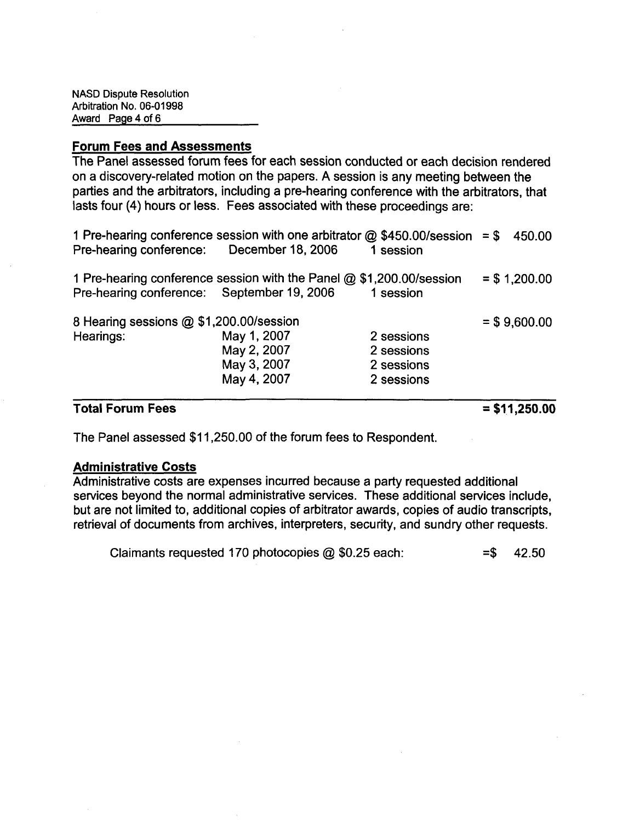### Forum Fees and Assessments

The Panel assessed forum fees for each session conducted or each decision rendered on a discovery-related motion on the papers. A session is any meeting between the parties and the arbitrators, including a pre-hearing conference with the arbitrators, that lasts four (4) hours or less. Fees associated with these proceedings are:

|                                            |                                                                                |            | .              |
|--------------------------------------------|--------------------------------------------------------------------------------|------------|----------------|
|                                            | May 4, 2007                                                                    | 2 sessions |                |
|                                            | May 3, 2007                                                                    | 2 sessions |                |
|                                            | May 2, 2007                                                                    | 2 sessions |                |
| Hearings:                                  | May 1, 2007                                                                    | 2 sessions |                |
| 8 Hearing sessions @ \$1,200.00/session    |                                                                                |            | $=$ \$9,600.00 |
| Pre-hearing conference: September 19, 2006 |                                                                                | 1 session  |                |
|                                            | 1 Pre-hearing conference session with the Panel @ \$1,200.00/session           |            | $= $ 1,200.00$ |
| Pre-hearing conference: December 18, 2006  |                                                                                | 1 session  |                |
|                                            | 1 Pre-hearing conference session with one arbitrator $@$ \$450.00/session = \$ |            | 450.00         |

### Total Forum Fees

 $=$  \$11,250.00

The Panel assessed \$11,250.00 of the forum fees to Respondent.

### Administrative Costs

Administrative costs are expenses incurred because a party requested additional services beyond the normal administrative services. These additional services include, but are not limited to, additional copies of arbitrator awards, copies of audio transcripts, retrieval of documents from archives, interpreters, security, and sundry other requests.

Claimants requested 170 photocopies  $\omega$  \$0.25 each:  $=$ \$ 42.50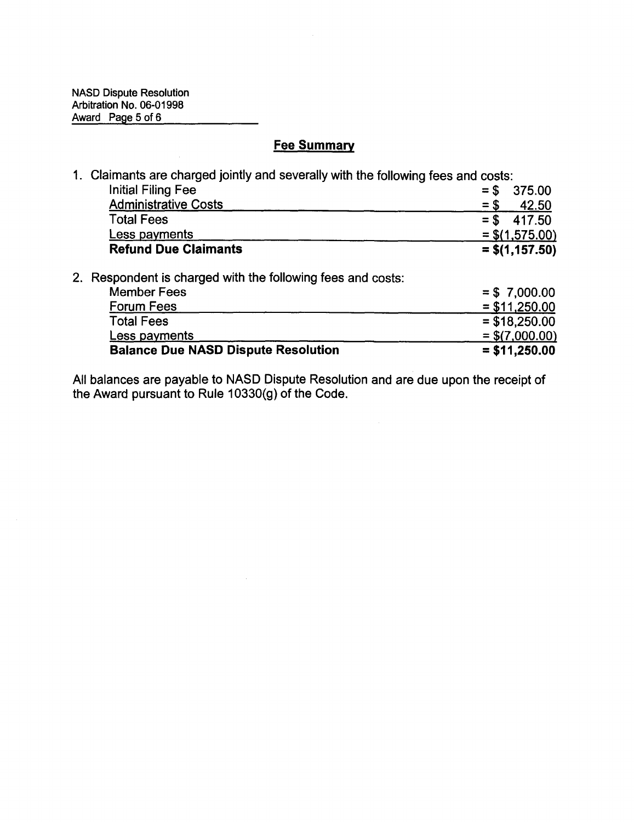$\mathcal{A}^{\mathcal{A}}$ 

# **Fee Summary**

|  | 1. Claimants are charged jointly and severally with the following fees and costs: |        |                  |
|--|-----------------------------------------------------------------------------------|--------|------------------|
|  | <b>Initial Filing Fee</b>                                                         | $=$ \$ | 375.00           |
|  | <b>Administrative Costs</b>                                                       | $=$ \$ | 42.50            |
|  | <b>Total Fees</b>                                                                 | $=$ \$ | 417.50           |
|  | Less payments                                                                     |        | $=$ \$(1,575.00) |
|  | <b>Refund Due Claimants</b>                                                       |        | $=$ \$(1,157.50) |
|  | 2. Respondent is charged with the following fees and costs:                       |        |                  |
|  | <b>Member Fees</b>                                                                |        | $= $7,000.00$    |
|  | Forum Fees                                                                        |        | $=$ \$11,250.00  |
|  | <b>Total Fees</b>                                                                 |        | $=$ \$18,250.00  |
|  | Less payments                                                                     |        | $=$ \$(7,000.00) |
|  | <b>Balance Due NASD Dispute Resolution</b>                                        |        | $=$ \$11,250.00  |

All balances are payable to NASD Dispute Resolution and are due upon the receipt of the Award pursuant to Rule 10330(g) of the Code.

 $\lambda$